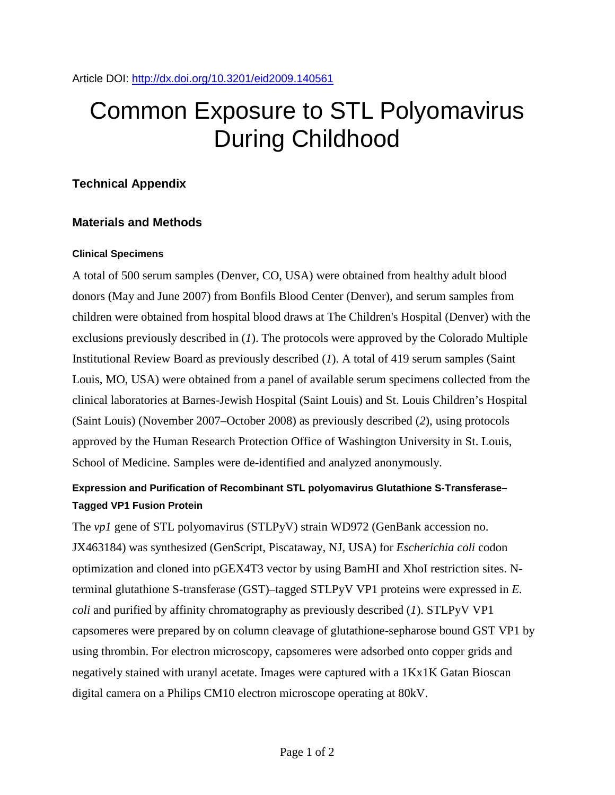# Common Exposure to STL Polyomavirus During Childhood

## **Technical Appendix**

## **Materials and Methods**

### **Clinical Specimens**

A total of 500 serum samples (Denver, CO, USA) were obtained from healthy adult blood donors (May and June 2007) from Bonfils Blood Center (Denver), and serum samples from children were obtained from hospital blood draws at The Children's Hospital (Denver) with the exclusions previously described in (*1*). The protocols were approved by the Colorado Multiple Institutional Review Board as previously described (*1*). A total of 419 serum samples (Saint Louis, MO, USA) were obtained from a panel of available serum specimens collected from the clinical laboratories at Barnes-Jewish Hospital (Saint Louis) and St. Louis Children's Hospital (Saint Louis) (November 2007–October 2008) as previously described (*2*), using protocols approved by the Human Research Protection Office of Washington University in St. Louis, School of Medicine. Samples were de-identified and analyzed anonymously.

## **Expression and Purification of Recombinant STL polyomavirus Glutathione S-Transferase– Tagged VP1 Fusion Protein**

The *vp1* gene of STL polyomavirus (STLPyV) strain WD972 (GenBank accession no. JX463184) was synthesized (GenScript, Piscataway, NJ, USA) for *Escherichia coli* codon optimization and cloned into pGEX4T3 vector by using BamHI and XhoI restriction sites. Nterminal glutathione S-transferase (GST)–tagged STLPyV VP1 proteins were expressed in *E. coli* and purified by affinity chromatography as previously described (*1*). STLPyV VP1 capsomeres were prepared by on column cleavage of glutathione-sepharose bound GST VP1 by using thrombin. For electron microscopy, capsomeres were adsorbed onto copper grids and negatively stained with uranyl acetate. Images were captured with a 1Kx1K Gatan Bioscan digital camera on a Philips CM10 electron microscope operating at 80kV.